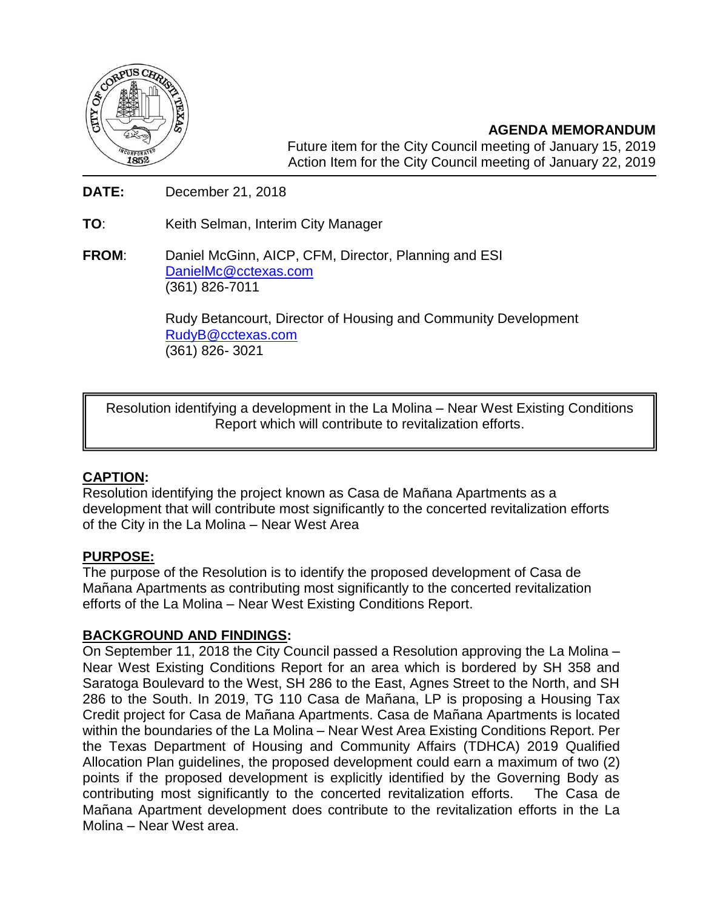

**AGENDA MEMORANDUM** Future item for the City Council meeting of January 15, 2019 Action Item for the City Council meeting of January 22, 2019

**DATE:** December 21, 2018

**TO**: Keith Selman, Interim City Manager

**FROM**: Daniel McGinn, AICP, CFM, Director, Planning and ESI [DanielMc@cctexas.com](mailto:DanielMc@cctexas.com) (361) 826-7011

> Rudy Betancourt, Director of Housing and Community Development [RudyB@cctexas.com](mailto:RudyB@cctexas.com) (361) 826- 3021

Resolution identifying a development in the La Molina – Near West Existing Conditions Report which will contribute to revitalization efforts.

## **CAPTION:**

Resolution identifying the project known as Casa de Mañana Apartments as a development that will contribute most significantly to the concerted revitalization efforts of the City in the La Molina – Near West Area

## **PURPOSE:**

The purpose of the Resolution is to identify the proposed development of Casa de Mañana Apartments as contributing most significantly to the concerted revitalization efforts of the La Molina – Near West Existing Conditions Report.

## **BACKGROUND AND FINDINGS:**

On September 11, 2018 the City Council passed a Resolution approving the La Molina – Near West Existing Conditions Report for an area which is bordered by SH 358 and Saratoga Boulevard to the West, SH 286 to the East, Agnes Street to the North, and SH 286 to the South. In 2019, TG 110 Casa de Mañana, LP is proposing a Housing Tax Credit project for Casa de Mañana Apartments. Casa de Mañana Apartments is located within the boundaries of the La Molina – Near West Area Existing Conditions Report. Per the Texas Department of Housing and Community Affairs (TDHCA) 2019 Qualified Allocation Plan guidelines, the proposed development could earn a maximum of two (2) points if the proposed development is explicitly identified by the Governing Body as contributing most significantly to the concerted revitalization efforts. The Casa de Mañana Apartment development does contribute to the revitalization efforts in the La Molina – Near West area.